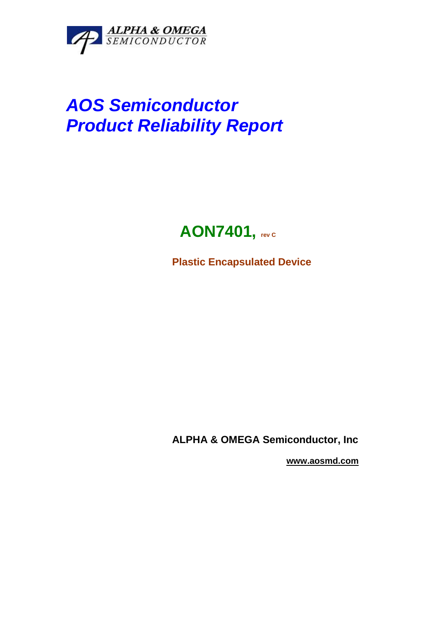

# **AOS Semiconductor Product Reliability Report**

# **AON7401, rev c**

**Plastic Encapsulated Device** 

**ALPHA & OMEGA Semiconductor, Inc** 

 **www.aosmd.com**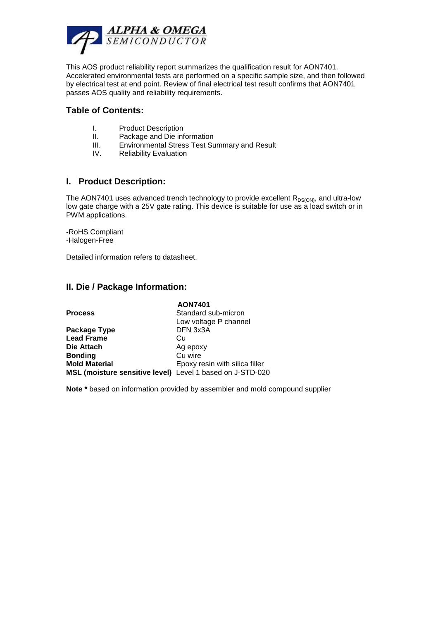

This AOS product reliability report summarizes the qualification result for AON7401. Accelerated environmental tests are performed on a specific sample size, and then followed by electrical test at end point. Review of final electrical test result confirms that AON7401 passes AOS quality and reliability requirements.

#### **Table of Contents:**

- I. Product Description
- II. Package and Die information
- III. Environmental Stress Test Summary and Result
- IV. Reliability Evaluation

#### **I. Product Description:**

The AON7401 uses advanced trench technology to provide excellent  $R_{DS(ON)}$ , and ultra-low low gate charge with a 25V gate rating. This device is suitable for use as a load switch or in PWM applications.

-RoHS Compliant -Halogen-Free

Detailed information refers to datasheet.

### **II. Die / Package Information:**

|                                                           | <b>AON7401</b>                 |
|-----------------------------------------------------------|--------------------------------|
| <b>Process</b>                                            | Standard sub-micron            |
|                                                           | Low voltage P channel          |
| Package Type                                              | DFN 3x3A                       |
| <b>Lead Frame</b>                                         | Cu                             |
| Die Attach                                                | Ag epoxy                       |
| <b>Bonding</b>                                            | Cu wire                        |
| <b>Mold Material</b>                                      | Epoxy resin with silica filler |
| MSL (moisture sensitive level) Level 1 based on J-STD-020 |                                |

**Note \*** based on information provided by assembler and mold compound supplier